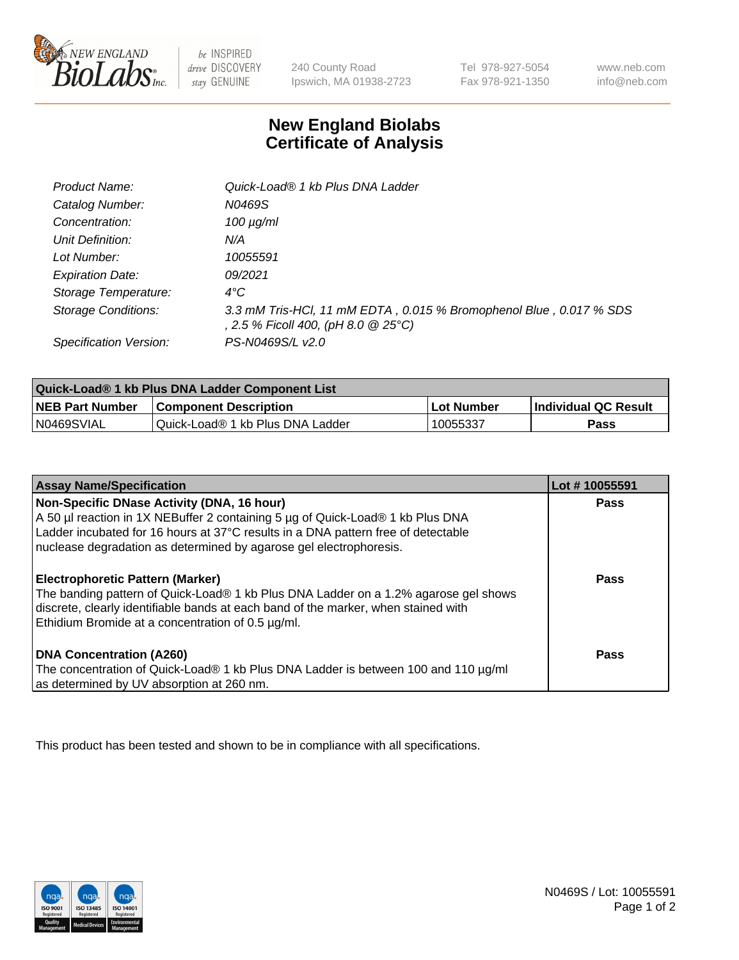

 $be$  INSPIRED drive DISCOVERY stay GENUINE

240 County Road Ipswich, MA 01938-2723 Tel 978-927-5054 Fax 978-921-1350 www.neb.com info@neb.com

## **New England Biolabs Certificate of Analysis**

| Product Name:              | Quick-Load® 1 kb Plus DNA Ladder                                                                          |
|----------------------------|-----------------------------------------------------------------------------------------------------------|
| Catalog Number:            | N0469S                                                                                                    |
| Concentration:             | $100 \mu g/ml$                                                                                            |
| Unit Definition:           | N/A                                                                                                       |
| Lot Number:                | 10055591                                                                                                  |
| <b>Expiration Date:</b>    | 09/2021                                                                                                   |
| Storage Temperature:       | $4^{\circ}C$                                                                                              |
| <b>Storage Conditions:</b> | 3.3 mM Tris-HCl, 11 mM EDTA, 0.015 % Bromophenol Blue, 0.017 % SDS<br>, 2.5 % Ficoll 400, (pH 8.0 @ 25°C) |
| Specification Version:     | PS-N0469S/L v2.0                                                                                          |

| Quick-Load® 1 kb Plus DNA Ladder Component List |                                  |            |                             |  |
|-------------------------------------------------|----------------------------------|------------|-----------------------------|--|
| <b>NEB Part Number</b>                          | <b>Component Description</b>     | Lot Number | <b>Individual QC Result</b> |  |
| N0469SVIAL                                      | Quick-Load® 1 kb Plus DNA Ladder | 10055337   | Pass                        |  |

| <b>Assay Name/Specification</b>                                                                                                                                                                                                                                                         | Lot #10055591 |
|-----------------------------------------------------------------------------------------------------------------------------------------------------------------------------------------------------------------------------------------------------------------------------------------|---------------|
| Non-Specific DNase Activity (DNA, 16 hour)<br>A 50 µl reaction in 1X NEBuffer 2 containing 5 µg of Quick-Load® 1 kb Plus DNA<br>Ladder incubated for 16 hours at 37°C results in a DNA pattern free of detectable<br>nuclease degradation as determined by agarose gel electrophoresis. | <b>Pass</b>   |
| <b>Electrophoretic Pattern (Marker)</b><br>The banding pattern of Quick-Load® 1 kb Plus DNA Ladder on a 1.2% agarose gel shows<br>discrete, clearly identifiable bands at each band of the marker, when stained with<br>Ethidium Bromide at a concentration of 0.5 µg/ml.               | Pass          |
| <b>DNA Concentration (A260)</b><br>The concentration of Quick-Load® 1 kb Plus DNA Ladder is between 100 and 110 µg/ml<br>as determined by UV absorption at 260 nm.                                                                                                                      | Pass          |

This product has been tested and shown to be in compliance with all specifications.